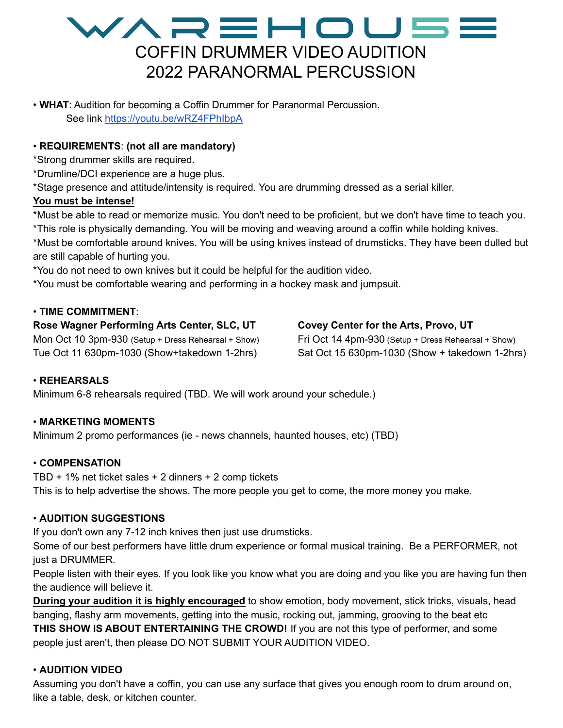### WAREHOU5E COFFIN DRUMMER VIDEO AUDITION 2022 PARANORMAL PERCUSSION

• **WHAT**: Audition for becoming a Coffin Drummer for Paranormal Percussion. See link <https://youtu.be/wRZ4FPhIbpA>

#### • **REQUIREMENTS**: **(not all are mandatory)**

\*Strong drummer skills are required.

\*Drumline/DCI experience are a huge plus.

\*Stage presence and attitude/intensity is required. You are drumming dressed as a serial killer.

#### **You must be intense!**

\*Must be able to read or memorize music. You don't need to be proficient, but we don't have time to teach you. \*This role is physically demanding. You will be moving and weaving around a coffin while holding knives. \*Must be comfortable around knives. You will be using knives instead of drumsticks. They have been dulled but are still capable of hurting you.

\*You do not need to own knives but it could be helpful for the audition video.

\*You must be comfortable wearing and performing in a hockey mask and jumpsuit.

#### • **TIME COMMITMENT**:

#### **Rose Wagner Performing Arts Center, SLC, UT**

Mon Oct 10 3pm-930 (Setup + Dress Rehearsal + Show) Tue Oct 11 630pm-1030 (Show+takedown 1-2hrs)

#### **Covey Center for the Arts, Provo, UT**

Fri Oct 14 4pm-930 (Setup + Dress Rehearsal + Show) Sat Oct 15 630pm-1030 (Show + takedown 1-2hrs)

#### • **REHEARSALS**

Minimum 6-8 rehearsals required (TBD. We will work around your schedule.)

#### • **MARKETING MOMENTS**

Minimum 2 promo performances (ie - news channels, haunted houses, etc) (TBD)

#### • **COMPENSATION**

TBD + 1% net ticket sales + 2 dinners + 2 comp tickets This is to help advertise the shows. The more people you get to come, the more money you make.

#### • **AUDITION SUGGESTIONS**

If you don't own any 7-12 inch knives then just use drumsticks.

Some of our best performers have little drum experience or formal musical training. Be a PERFORMER, not just a DRUMMER.

People listen with their eyes. If you look like you know what you are doing and you like you are having fun then the audience will believe it.

**During your audition it is highly encouraged** to show emotion, body movement, stick tricks, visuals, head banging, flashy arm movements, getting into the music, rocking out, jamming, grooving to the beat etc **THIS SHOW IS ABOUT ENTERTAINING THE CROWD!** If you are not this type of performer, and some people just aren't, then please DO NOT SUBMIT YOUR AUDITION VIDEO.

#### • **AUDITION VIDEO**

Assuming you don't have a coffin, you can use any surface that gives you enough room to drum around on, like a table, desk, or kitchen counter.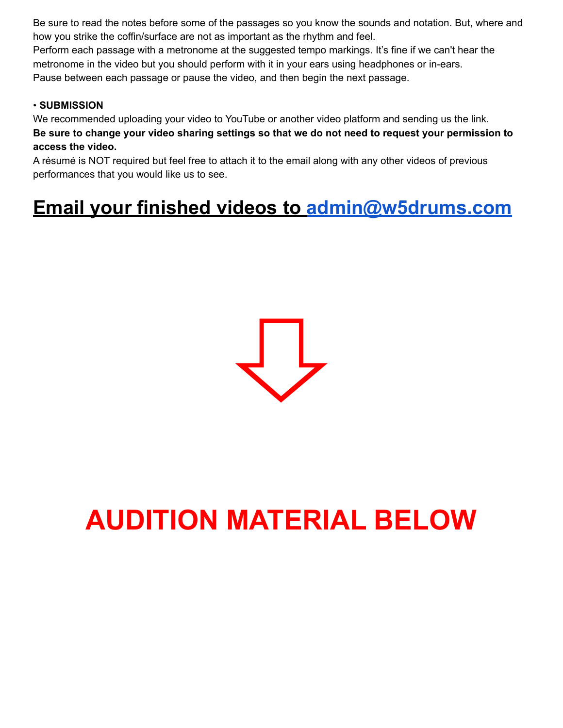Be sure to read the notes before some of the passages so you know the sounds and notation. But, where and how you strike the coffin/surface are not as important as the rhythm and feel.

Perform each passage with a metronome at the suggested tempo markings. It's fine if we can't hear the metronome in the video but you should perform with it in your ears using headphones or in-ears. Pause between each passage or pause the video, and then begin the next passage.

#### • **SUBMISSION**

We recommended uploading your video to YouTube or another video platform and sending us the link. Be sure to change your video sharing settings so that we do not need to request your permission to **access the video.**

A résumé is NOT required but feel free to attach it to the email along with any other videos of previous performances that you would like us to see.

## **Email your finished videos to [admin@w5drums.com](mailto:admin@w5drums.com)**



# **AUDITION MATERIAL BELOW**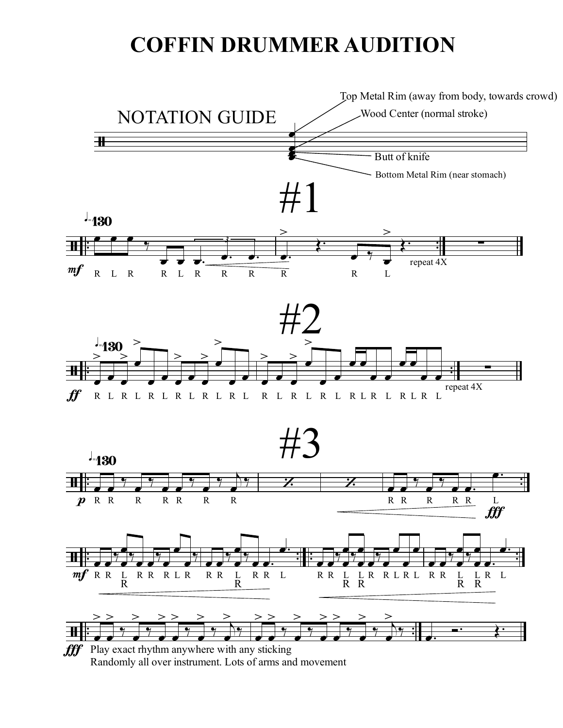## **COFFIN DRUMMER AUDITION**